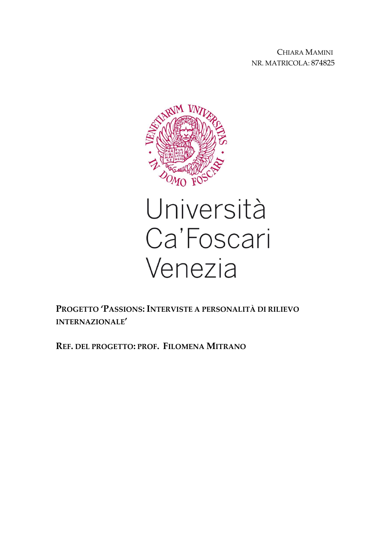CHIARA MAMINI NR. MATRICOLA: 874825



# Università Ca'Foscari Venezia

**PROGETTO 'PASSIONS:INTERVISTE A PERSONALITÀ DI RILIEVO INTERNAZIONALE'**

**REF. DEL PROGETTO: PROF. FILOMENA MITRANO**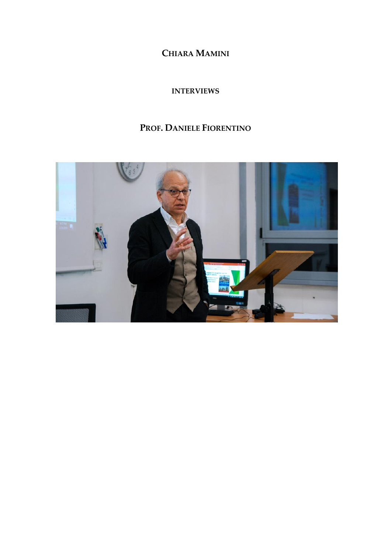**CHIARA MAMINI**

**INTERVIEWS**

## **PROF. DANIELE FIORENTINO**

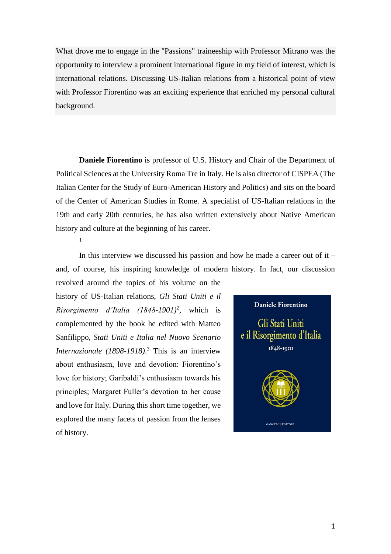What drove me to engage in the "Passions" traineeship with Professor Mitrano was the opportunity to interview a prominent international figure in my field of interest, which is international relations. Discussing US-Italian relations from a historical point of view with Professor Fiorentino was an exciting experience that enriched my personal cultural background.

**Daniele Fiorentino** is professor of U.S. History and Chair of the Department of Political Sciences at the University Roma Tre in Italy. He is also director of CISPEA (The Italian Center for the Study of Euro-American History and Politics) and sits on the board of the Center of American Studies in Rome. A specialist of US-Italian relations in the 19th and early 20th centuries, he has also written extensively about Native American history and culture at the beginning of his career.

1

In this interview we discussed his passion and how he made a career out of it – and, of course, his inspiring knowledge of modern history. In fact, our discussion

revolved around the topics of his volume on the history of US-Italian relations, *Gli Stati Uniti e il Risorgimento d'Italia (1848-1901)<sup>2</sup> ,* which is complemented by the book he edited with Matteo Sanfilippo, *Stati Uniti e Italia nel Nuovo Scenario Internazionale (1898-1918)*. <sup>3</sup> This is an interview about enthusiasm, love and devotion: Fiorentino's love for history; Garibaldi's enthusiasm towards his principles; Margaret Fuller's devotion to her cause and love for Italy. During this short time together, we explored the many facets of passion from the lenses of history.

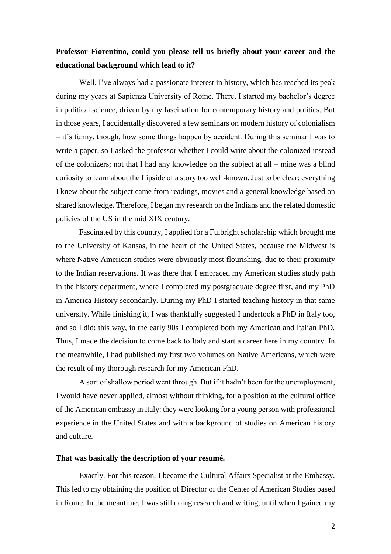### **Professor Fiorentino, could you please tell us briefly about your career and the educational background which lead to it?**

Well. I've always had a passionate interest in history, which has reached its peak during my years at Sapienza University of Rome. There, I started my bachelor's degree in political science, driven by my fascination for contemporary history and politics. But in those years, I accidentally discovered a few seminars on modern history of colonialism – it's funny, though, how some things happen by accident. During this seminar I was to write a paper, so I asked the professor whether I could write about the colonized instead of the colonizers; not that I had any knowledge on the subject at all – mine was a blind curiosity to learn about the flipside of a story too well-known. Just to be clear: everything I knew about the subject came from readings, movies and a general knowledge based on shared knowledge. Therefore, I began my research on the Indians and the related domestic policies of the US in the mid XIX century.

Fascinated by this country, I applied for a Fulbright scholarship which brought me to the University of Kansas, in the heart of the United States, because the Midwest is where Native American studies were obviously most flourishing, due to their proximity to the Indian reservations. It was there that I embraced my American studies study path in the history department, where I completed my postgraduate degree first, and my PhD in America History secondarily. During my PhD I started teaching history in that same university. While finishing it, I was thankfully suggested I undertook a PhD in Italy too, and so I did: this way, in the early 90s I completed both my American and Italian PhD. Thus, I made the decision to come back to Italy and start a career here in my country. In the meanwhile, I had published my first two volumes on Native Americans, which were the result of my thorough research for my American PhD.

A sort of shallow period went through. But if it hadn't been for the unemployment, I would have never applied, almost without thinking, for a position at the cultural office of the American embassy in Italy: they were looking for a young person with professional experience in the United States and with a background of studies on American history and culture.

#### **That was basically the description of your resumé.**

Exactly. For this reason, I became the Cultural Affairs Specialist at the Embassy. This led to my obtaining the position of Director of the Center of American Studies based in Rome. In the meantime, I was still doing research and writing, until when I gained my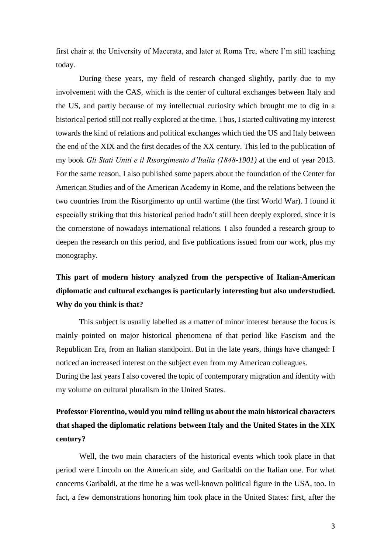first chair at the University of Macerata, and later at Roma Tre, where I'm still teaching today.

During these years, my field of research changed slightly, partly due to my involvement with the CAS, which is the center of cultural exchanges between Italy and the US, and partly because of my intellectual curiosity which brought me to dig in a historical period still not really explored at the time. Thus, I started cultivating my interest towards the kind of relations and political exchanges which tied the US and Italy between the end of the XIX and the first decades of the XX century. This led to the publication of my book *Gli Stati Uniti e il Risorgimento d'Italia (1848-1901)* at the end of year 2013. For the same reason, I also published some papers about the foundation of the Center for American Studies and of the American Academy in Rome, and the relations between the two countries from the Risorgimento up until wartime (the first World War). I found it especially striking that this historical period hadn't still been deeply explored, since it is the cornerstone of nowadays international relations. I also founded a research group to deepen the research on this period, and five publications issued from our work, plus my monography.

## **This part of modern history analyzed from the perspective of Italian-American diplomatic and cultural exchanges is particularly interesting but also understudied. Why do you think is that?**

This subject is usually labelled as a matter of minor interest because the focus is mainly pointed on major historical phenomena of that period like Fascism and the Republican Era, from an Italian standpoint. But in the late years, things have changed: I noticed an increased interest on the subject even from my American colleagues. During the last years I also covered the topic of contemporary migration and identity with my volume on cultural pluralism in the United States.

## **Professor Fiorentino, would you mind telling us about the main historical characters that shaped the diplomatic relations between Italy and the United States in the XIX century?**

Well, the two main characters of the historical events which took place in that period were Lincoln on the American side, and Garibaldi on the Italian one. For what concerns Garibaldi, at the time he a was well-known political figure in the USA, too. In fact, a few demonstrations honoring him took place in the United States: first, after the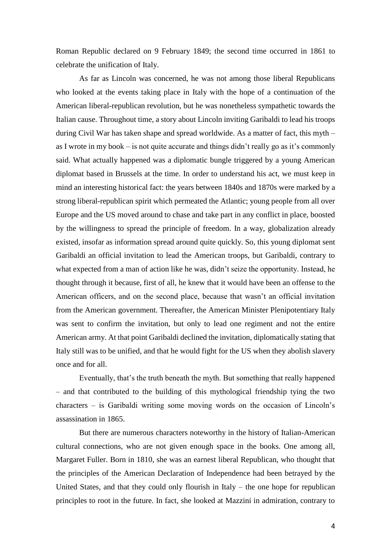Roman Republic declared on 9 February 1849; the second time occurred in 1861 to celebrate the unification of Italy.

As far as Lincoln was concerned, he was not among those liberal Republicans who looked at the events taking place in Italy with the hope of a continuation of the American liberal-republican revolution, but he was nonetheless sympathetic towards the Italian cause. Throughout time, a story about Lincoln inviting Garibaldi to lead his troops during Civil War has taken shape and spread worldwide. As a matter of fact, this myth – as I wrote in my book – is not quite accurate and things didn't really go as it's commonly said. What actually happened was a diplomatic bungle triggered by a young American diplomat based in Brussels at the time. In order to understand his act, we must keep in mind an interesting historical fact: the years between 1840s and 1870s were marked by a strong liberal-republican spirit which permeated the Atlantic; young people from all over Europe and the US moved around to chase and take part in any conflict in place, boosted by the willingness to spread the principle of freedom. In a way, globalization already existed, insofar as information spread around quite quickly. So, this young diplomat sent Garibaldi an official invitation to lead the American troops, but Garibaldi, contrary to what expected from a man of action like he was, didn't seize the opportunity. Instead, he thought through it because, first of all, he knew that it would have been an offense to the American officers, and on the second place, because that wasn't an official invitation from the American government. Thereafter, the American Minister Plenipotentiary Italy was sent to confirm the invitation, but only to lead one regiment and not the entire American army. At that point Garibaldi declined the invitation, diplomatically stating that Italy still was to be unified, and that he would fight for the US when they abolish slavery once and for all.

Eventually, that's the truth beneath the myth. But something that really happened – and that contributed to the building of this mythological friendship tying the two characters – is Garibaldi writing some moving words on the occasion of Lincoln's assassination in 1865.

But there are numerous characters noteworthy in the history of Italian-American cultural connections, who are not given enough space in the books. One among all, Margaret Fuller. Born in 1810, she was an earnest liberal Republican, who thought that the principles of the American Declaration of Independence had been betrayed by the United States, and that they could only flourish in Italy – the one hope for republican principles to root in the future. In fact, she looked at Mazzini in admiration, contrary to